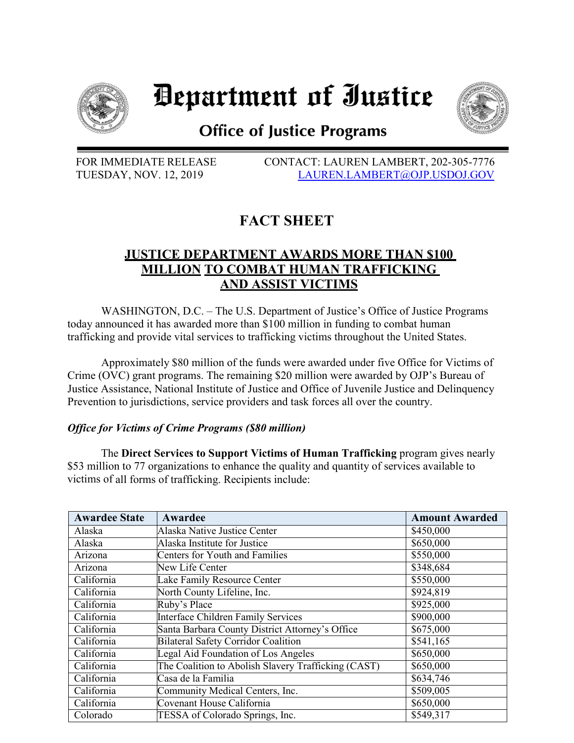

# Department of Iustice



## **Office of Justice Programs**

FOR IMMEDIATE RELEASE CONTACT: LAUREN LAMBERT, 202-305-7776 TUESDAY, NOV. 12, 2019 [LAUREN.LAMBERT@OJP.USDOJ.GOV](mailto:LAUREN.LAMBERT@OJP.USDOJ.GOV)

## **FACT SHEET**

### **JUSTICE DEPARTMENT AWARDS MORE THAN \$100 MILLION TO COMBAT HUMAN TRAFFICKING AND ASSIST VICTIMS**

WASHINGTON, D.C. – The U.S. Department of Justice's Office of Justice Programs today announced it has awarded more than \$100 million in funding to combat human trafficking and provide vital services to trafficking victims throughout the United States.

Approximately \$80 million of the funds were awarded under five Office for Victims of Crime (OVC) grant programs. The remaining \$20 million were awarded by OJP's Bureau of Justice Assistance, National Institute of Justice and Office of Juvenile Justice and Delinquency Prevention to jurisdictions, service providers and task forces all over the country.

#### *Office for Victims of Crime Programs (\$80 million)*

The **Direct Services to Support Victims of Human Trafficking** program gives nearly \$53 million to 77 organizations to enhance the quality and quantity of services available to victims of all forms of trafficking. Recipients include:

| <b>Awardee State</b> | Awardee                                             | <b>Amount Awarded</b> |
|----------------------|-----------------------------------------------------|-----------------------|
| Alaska               | Alaska Native Justice Center                        | \$450,000             |
| Alaska               | Alaska Institute for Justice                        | \$650,000             |
| Arizona              | Centers for Youth and Families                      | \$550,000             |
| Arizona              | New Life Center                                     | \$348,684             |
| California           | Lake Family Resource Center                         | \$550,000             |
| California           | North County Lifeline, Inc.                         | \$924,819             |
| California           | Ruby's Place                                        | \$925,000             |
| California           | Interface Children Family Services                  | \$900,000             |
| California           | Santa Barbara County District Attorney's Office     | \$675,000             |
| California           | <b>Bilateral Safety Corridor Coalition</b>          | \$541,165             |
| California           | Legal Aid Foundation of Los Angeles                 | \$650,000             |
| California           | The Coalition to Abolish Slavery Trafficking (CAST) | \$650,000             |
| California           | Casa de la Familia                                  | \$634,746             |
| California           | Community Medical Centers, Inc.                     | \$509,005             |
| California           | Covenant House California                           | \$650,000             |
| Colorado             | TESSA of Colorado Springs, Inc.                     | \$549,317             |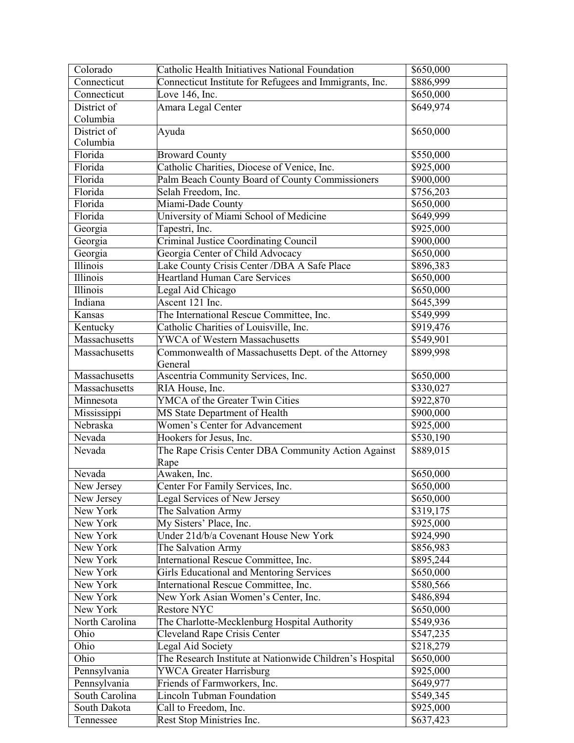| Colorado                  | Catholic Health Initiatives National Foundation          | \$650,000              |
|---------------------------|----------------------------------------------------------|------------------------|
| Connecticut               | Connecticut Institute for Refugees and Immigrants, Inc.  | \$886,999              |
| Connecticut               | Love 146, Inc.                                           | \$650,000              |
| District of               | Amara Legal Center                                       | \$649,974              |
| Columbia                  |                                                          |                        |
| District of               | Ayuda                                                    | \$650,000              |
| Columbia                  |                                                          |                        |
| Florida                   | <b>Broward County</b>                                    | \$550,000              |
| Florida                   | Catholic Charities, Diocese of Venice, Inc.              | \$925,000              |
| Florida                   | Palm Beach County Board of County Commissioners          | $\overline{$900,000}$  |
| Florida                   | Selah Freedom, Inc.                                      | \$756,203              |
| Florida                   | Miami-Dade County                                        | \$650,000              |
| Florida                   | University of Miami School of Medicine                   | \$649,999              |
| Georgia                   | Tapestri, Inc.                                           | \$925,000              |
| Georgia                   | <b>Criminal Justice Coordinating Council</b>             | \$900,000              |
| Georgia                   | Georgia Center of Child Advocacy                         | \$650,000              |
| Illinois                  | Lake County Crisis Center / DBA A Safe Place             | \$896,383              |
| Illinois                  | <b>Heartland Human Care Services</b>                     | \$650,000              |
| <b>Illinois</b>           | Legal Aid Chicago                                        | \$650,000              |
| Indiana                   | Ascent 121 Inc.                                          | \$645,399              |
| Kansas                    | The International Rescue Committee, Inc.                 | \$549,999              |
| Kentucky                  | Catholic Charities of Louisville, Inc.                   | \$919,476              |
| Massachusetts             | <b>YWCA of Western Massachusetts</b>                     | \$549,901              |
| Massachusetts             | Commonwealth of Massachusetts Dept. of the Attorney      | \$899,998              |
|                           | General                                                  |                        |
| Massachusetts             | Ascentria Community Services, Inc.                       | \$650,000              |
| Massachusetts             | RIA House, Inc.                                          | \$330,027              |
| Minnesota                 | YMCA of the Greater Twin Cities                          | \$922,870              |
|                           |                                                          |                        |
| Mississippi               | MS State Department of Health                            | \$900,000              |
| Nebraska                  | Women's Center for Advancement                           | \$925,000              |
| Nevada                    | Hookers for Jesus, Inc.                                  | \$530,190              |
| Nevada                    | The Rape Crisis Center DBA Community Action Against      | \$889,015              |
|                           | Rape                                                     |                        |
| Nevada                    | Awaken, Inc.                                             | \$650,000              |
| New Jersey                | Center For Family Services, Inc.                         | \$650,000              |
| New Jersey                | Legal Services of New Jersey                             | $\overline{$650,000}$  |
| New York                  | The Salvation Army                                       | \$319,175              |
| New York                  | My Sisters' Place, Inc.                                  | \$925,000              |
| New York                  | Under 21d/b/a Covenant House New York                    | \$924,990              |
| New York                  | The Salvation Army                                       | \$856,983              |
| New York                  | International Rescue Committee, Inc.                     | \$895,244              |
| New York                  | <b>Girls Educational and Mentoring Services</b>          | \$650,000              |
| New York                  | International Rescue Committee, Inc.                     | \$580,566              |
| New York                  | New York Asian Women's Center, Inc.                      | \$486,894              |
| New York                  | <b>Restore NYC</b>                                       | \$650,000              |
| North Carolina            | The Charlotte-Mecklenburg Hospital Authority             | \$549,936              |
| Ohio                      | <b>Cleveland Rape Crisis Center</b>                      | \$547,235              |
| Ohio                      | Legal Aid Society                                        | \$218,279              |
| Ohio                      | The Research Institute at Nationwide Children's Hospital | \$650,000              |
| Pennsylvania              | <b>YWCA Greater Harrisburg</b>                           | \$925,000              |
| Pennsylvania              | Friends of Farmworkers, Inc.                             | \$649,977              |
| South Carolina            | <b>Lincoln Tubman Foundation</b>                         | \$549,345              |
| South Dakota<br>Tennessee | Call to Freedom, Inc.<br>Rest Stop Ministries Inc.       | \$925,000<br>\$637,423 |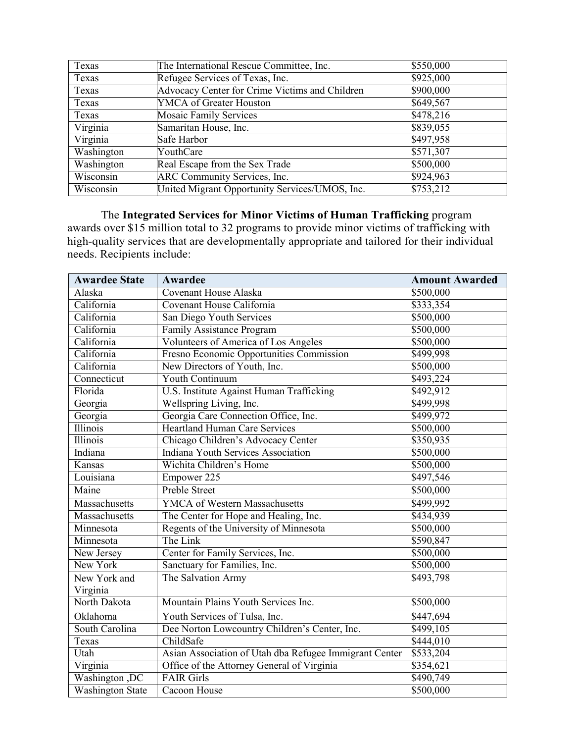| Texas      | The International Rescue Committee, Inc.       | \$550,000 |
|------------|------------------------------------------------|-----------|
| Texas      | Refugee Services of Texas, Inc.                | \$925,000 |
| Texas      | Advocacy Center for Crime Victims and Children | \$900,000 |
| Texas      | <b>YMCA</b> of Greater Houston                 | \$649,567 |
| Texas      | <b>Mosaic Family Services</b>                  | \$478,216 |
| Virginia   | Samaritan House, Inc.                          | \$839,055 |
| Virginia   | Safe Harbor                                    | \$497,958 |
| Washington | YouthCare                                      | \$571,307 |
| Washington | Real Escape from the Sex Trade                 | \$500,000 |
| Wisconsin  | ARC Community Services, Inc.                   | \$924,963 |
| Wisconsin  | United Migrant Opportunity Services/UMOS, Inc. | \$753,212 |

The **Integrated Services for Minor Victims of Human Trafficking** program awards over \$15 million total to 32 programs to provide minor victims of trafficking with high-quality services that are developmentally appropriate and tailored for their individual needs. Recipients include:

| <b>Awardee State</b>    | Awardee                                                | <b>Amount Awarded</b> |
|-------------------------|--------------------------------------------------------|-----------------------|
| Alaska                  | <b>Covenant House Alaska</b>                           | \$500,000             |
| California              | Covenant House California                              | \$333,354             |
| California              | San Diego Youth Services                               | \$500,000             |
| California              | Family Assistance Program                              | \$500,000             |
| California              | Volunteers of America of Los Angeles                   | \$500,000             |
| California              | Fresno Economic Opportunities Commission               | \$499,998             |
| California              | New Directors of Youth, Inc.                           | \$500,000             |
| Connecticut             | <b>Youth Continuum</b>                                 | \$493,224             |
| Florida                 | U.S. Institute Against Human Trafficking               | \$492,912             |
| Georgia                 | Wellspring Living, Inc.                                | \$499,998             |
| Georgia                 | Georgia Care Connection Office, Inc.                   | \$499,972             |
| <b>Illinois</b>         | <b>Heartland Human Care Services</b>                   | \$500,000             |
| Illinois                | Chicago Children's Advocacy Center                     | \$350,935             |
| Indiana                 | Indiana Youth Services Association                     | \$500,000             |
| Kansas                  | Wichita Children's Home                                | \$500,000             |
| Louisiana               | Empower 225                                            | \$497,546             |
| Maine                   | <b>Preble Street</b>                                   | \$500,000             |
| Massachusetts           | YMCA of Western Massachusetts                          | \$499,992             |
| Massachusetts           | The Center for Hope and Healing, Inc.                  | \$434,939             |
| Minnesota               | Regents of the University of Minnesota                 | \$500,000             |
| Minnesota               | The Link                                               | \$590,847             |
| New Jersey              | Center for Family Services, Inc.                       | \$500,000             |
| New York                | Sanctuary for Families, Inc.                           | \$500,000             |
| New York and            | The Salvation Army                                     | \$493,798             |
| Virginia                |                                                        |                       |
| North Dakota            | Mountain Plains Youth Services Inc.                    | \$500,000             |
| Oklahoma                | Youth Services of Tulsa, Inc.                          | \$447,694             |
| South Carolina          | Dee Norton Lowcountry Children's Center, Inc.          | \$499,105             |
| Texas                   | ChildSafe                                              | \$444,010             |
| Utah                    | Asian Association of Utah dba Refugee Immigrant Center | \$533,204             |
| Virginia                | Office of the Attorney General of Virginia             | \$354,621             |
| Washington, DC          | <b>FAIR Girls</b>                                      | \$490,749             |
| <b>Washington State</b> | Cacoon House                                           | \$500,000             |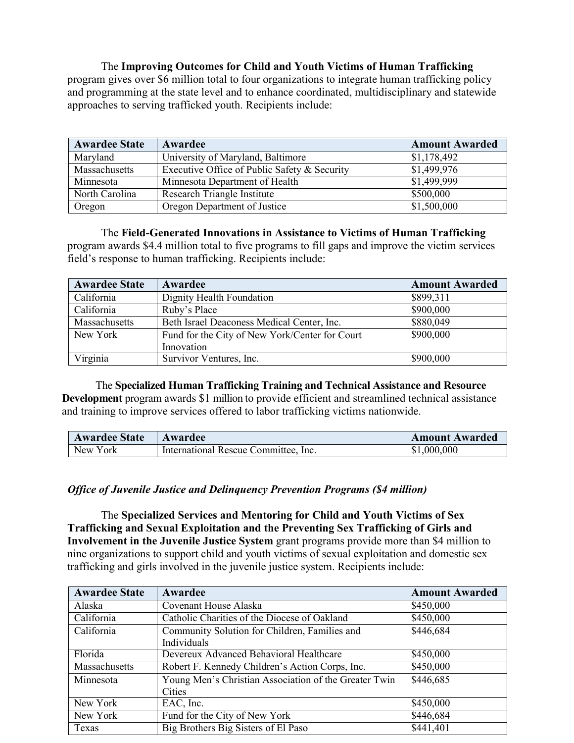The **Improving Outcomes for Child and Youth Victims of Human Trafficking** program gives over \$6 million total to four organizations to integrate human trafficking policy and programming at the state level and to enhance coordinated, multidisciplinary and statewide approaches to serving trafficked youth. Recipients include:

| <b>Awardee State</b> | Awardee                                      | <b>Amount Awarded</b> |
|----------------------|----------------------------------------------|-----------------------|
| Maryland             | University of Maryland, Baltimore            | \$1,178,492           |
| Massachusetts        | Executive Office of Public Safety & Security | \$1,499,976           |
| Minnesota            | Minnesota Department of Health               | \$1,499,999           |
| North Carolina       | Research Triangle Institute                  | \$500,000             |
| Oregon               | Oregon Department of Justice                 | \$1,500,000           |

#### The **Field-Generated Innovations in Assistance to Victims of Human Trafficking**

program awards \$4.4 million total to five programs to fill gaps and improve the victim services field's response to human trafficking. Recipients include:

| <b>Awardee State</b> | Awardee                                        | <b>Amount Awarded</b> |
|----------------------|------------------------------------------------|-----------------------|
| California           | Dignity Health Foundation                      | \$899,311             |
| California           | Ruby's Place                                   | \$900,000             |
| Massachusetts        | Beth Israel Deaconess Medical Center, Inc.     | \$880,049             |
| New York             | Fund for the City of New York/Center for Court | \$900,000             |
|                      | Innovation                                     |                       |
| Virginia             | Survivor Ventures, Inc.                        | \$900,000             |

The **Specialized Human Trafficking Training and Technical Assistance and Resource Development** program awards \$1 million to provide efficient and streamlined technical assistance and training to improve services offered to labor trafficking victims nationwide.

| <b>Awardee State</b> | Awardee                              | <b>Amount Awarded</b> |
|----------------------|--------------------------------------|-----------------------|
| New York             | International Rescue Committee, Inc. | \$1,000,000           |

#### *Office of Juvenile Justice and Delinquency Prevention Programs (\$4 million)*

The **Specialized Services and Mentoring for Child and Youth Victims of Sex Trafficking and Sexual Exploitation and the Preventing Sex Trafficking of Girls and Involvement in the Juvenile Justice System** grant programs provide more than \$4 million to nine organizations to support child and youth victims of sexual exploitation and domestic sex trafficking and girls involved in the juvenile justice system. Recipients include:

| <b>Awardee State</b> | Awardee                                               | <b>Amount Awarded</b> |
|----------------------|-------------------------------------------------------|-----------------------|
| Alaska               | Covenant House Alaska                                 | \$450,000             |
| California           | Catholic Charities of the Diocese of Oakland          | \$450,000             |
| California           | Community Solution for Children, Families and         | \$446,684             |
|                      | Individuals                                           |                       |
| Florida              | Devereux Advanced Behavioral Healthcare               | \$450,000             |
| Massachusetts        | Robert F. Kennedy Children's Action Corps, Inc.       | \$450,000             |
| Minnesota            | Young Men's Christian Association of the Greater Twin | \$446,685             |
|                      | Cities                                                |                       |
| New York             | EAC, Inc.                                             | \$450,000             |
| New York             | Fund for the City of New York                         | \$446,684             |
| Texas                | Big Brothers Big Sisters of El Paso                   | \$441,401             |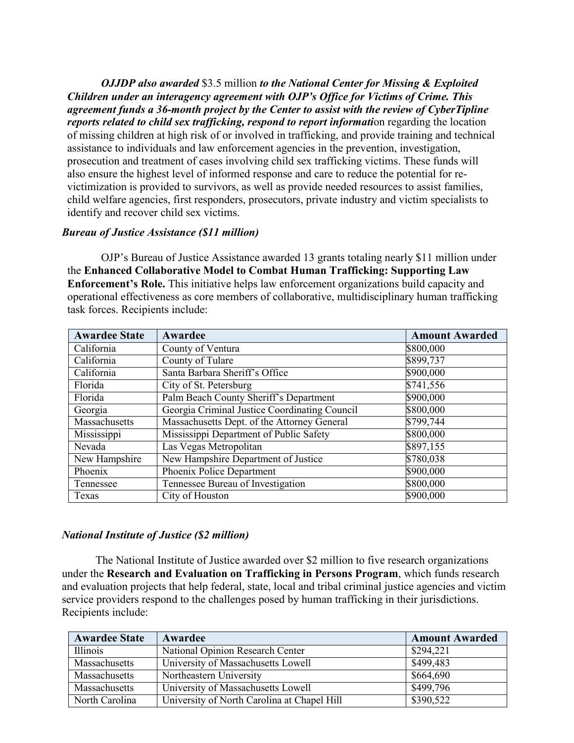*OJJDP also awarded* \$3.5 million *to the National Center for Missing & Exploited Children under an interagency agreement with OJP's Office for Victims of Crime. This agreement funds a 36-month project by the Center to assist with the review of CyberTipline reports related to child sex trafficking, respond to report information regarding the location* of missing children at high risk of or involved in trafficking, and provide training and technical assistance to individuals and law enforcement agencies in the prevention, investigation, prosecution and treatment of cases involving child sex trafficking victims. These funds will also ensure the highest level of informed response and care to reduce the potential for revictimization is provided to survivors, as well as provide needed resources to assist families, child welfare agencies, first responders, prosecutors, private industry and victim specialists to identify and recover child sex victims.

#### *Bureau of Justice Assistance (\$11 million)*

OJP's Bureau of Justice Assistance awarded 13 grants totaling nearly \$11 million under the **Enhanced Collaborative Model to Combat Human Trafficking: Supporting Law Enforcement's Role.** This initiative helps law enforcement organizations build capacity and operational effectiveness as core members of collaborative, multidisciplinary human trafficking task forces. Recipients include:

| <b>Awardee State</b> | Awardee                                       | <b>Amount Awarded</b> |
|----------------------|-----------------------------------------------|-----------------------|
| California           | County of Ventura                             | \$800,000             |
| California           | County of Tulare                              | \$899,737             |
| California           | Santa Barbara Sheriff's Office                | $\overline{$900,000}$ |
| Florida              | City of St. Petersburg                        | \$741,556             |
| Florida              | Palm Beach County Sheriff's Department        | \$900,000             |
| Georgia              | Georgia Criminal Justice Coordinating Council | \$800,000             |
| Massachusetts        | Massachusetts Dept. of the Attorney General   | \$799,744             |
| Mississippi          | Mississippi Department of Public Safety       | \$800,000             |
| Nevada               | Las Vegas Metropolitan                        | \$897,155             |
| New Hampshire        | New Hampshire Department of Justice           | \$780,038             |
| Phoenix              | Phoenix Police Department                     | \$900,000             |
| Tennessee            | Tennessee Bureau of Investigation             | \$800,000             |
| Texas                | City of Houston                               | \$900,000             |

#### *National Institute of Justice (\$2 million)*

The National Institute of Justice awarded over \$2 million to five research organizations under the **Research and Evaluation on Trafficking in Persons Program**, which funds research and evaluation projects that help federal, state, local and tribal criminal justice agencies and victim service providers respond to the challenges posed by human trafficking in their jurisdictions. Recipients include:

| <b>Awardee State</b> | Awardee                                     | <b>Amount Awarded</b> |
|----------------------|---------------------------------------------|-----------------------|
| Illinois             | National Opinion Research Center            | \$294,221             |
| Massachusetts        | University of Massachusetts Lowell          | \$499,483             |
| Massachusetts        | Northeastern University                     | \$664,690             |
| Massachusetts        | University of Massachusetts Lowell          | \$499,796             |
| North Carolina       | University of North Carolina at Chapel Hill | \$390,522             |